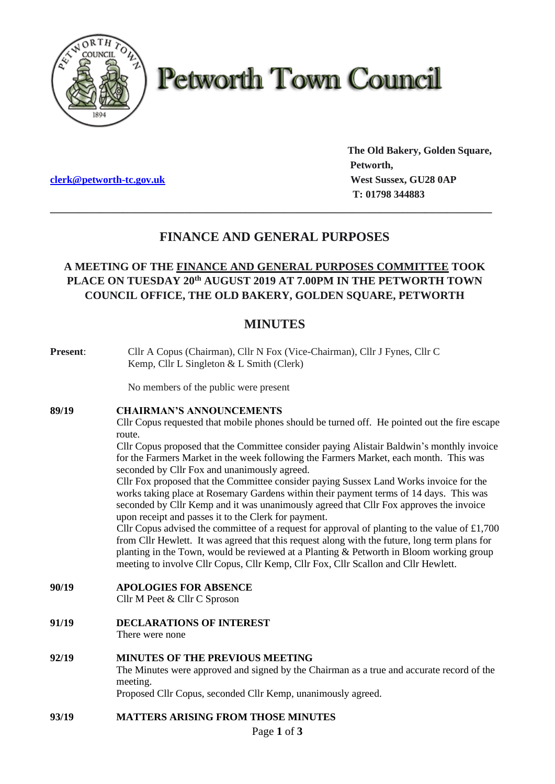

# **Petworth Town Council**

**The Old Bakery, Golden Square, Petworth, clerk@petworth-tc.gov.uk** *West Sussex, GU28 0AP*  **T: 01798 344883**

# **FINANCE AND GENERAL PURPOSES**

**\_\_\_\_\_\_\_\_\_\_\_\_\_\_\_\_\_\_\_\_\_\_\_\_\_\_\_\_\_\_\_\_\_\_\_\_\_\_\_\_\_\_\_\_\_\_\_\_\_\_\_\_\_\_\_\_\_\_\_\_\_\_\_\_\_\_\_\_\_\_\_\_\_\_\_\_\_\_\_**

# **A MEETING OF THE FINANCE AND GENERAL PURPOSES COMMITTEE TOOK PLACE ON TUESDAY 20th AUGUST 2019 AT 7.00PM IN THE PETWORTH TOWN COUNCIL OFFICE, THE OLD BAKERY, GOLDEN SQUARE, PETWORTH**

# **MINUTES**

| <b>Present:</b> | Cllr A Copus (Chairman), Cllr N Fox (Vice-Chairman), Cllr J Fynes, Cllr C<br>Kemp, Cllr L Singleton & L Smith (Clerk)                                                                                                                                                                                                                                                           |
|-----------------|---------------------------------------------------------------------------------------------------------------------------------------------------------------------------------------------------------------------------------------------------------------------------------------------------------------------------------------------------------------------------------|
|                 | No members of the public were present                                                                                                                                                                                                                                                                                                                                           |
| 89/19           | <b>CHAIRMAN'S ANNOUNCEMENTS</b>                                                                                                                                                                                                                                                                                                                                                 |
|                 | Cllr Copus requested that mobile phones should be turned off. He pointed out the fire escape<br>route.                                                                                                                                                                                                                                                                          |
|                 | Cllr Copus proposed that the Committee consider paying Alistair Baldwin's monthly invoice<br>for the Farmers Market in the week following the Farmers Market, each month. This was<br>seconded by Cllr Fox and unanimously agreed.                                                                                                                                              |
|                 | Cllr Fox proposed that the Committee consider paying Sussex Land Works invoice for the<br>works taking place at Rosemary Gardens within their payment terms of 14 days. This was<br>seconded by Cllr Kemp and it was unanimously agreed that Cllr Fox approves the invoice<br>upon receipt and passes it to the Clerk for payment.                                              |
|                 | Cllr Copus advised the committee of a request for approval of planting to the value of £1,700<br>from Cllr Hewlett. It was agreed that this request along with the future, long term plans for<br>planting in the Town, would be reviewed at a Planting & Petworth in Bloom working group<br>meeting to involve Cllr Copus, Cllr Kemp, Cllr Fox, Cllr Scallon and Cllr Hewlett. |
| 90/19           | <b>APOLOGIES FOR ABSENCE</b><br>Cllr M Peet & Cllr C Sproson                                                                                                                                                                                                                                                                                                                    |
| 91/19           | <b>DECLARATIONS OF INTEREST</b><br>There were none                                                                                                                                                                                                                                                                                                                              |
| 92/19           | MINUTES OF THE PREVIOUS MEETING<br>The Minutes were approved and signed by the Chairman as a true and accurate record of the<br>meeting.<br>Proposed Cllr Copus, seconded Cllr Kemp, unanimously agreed.                                                                                                                                                                        |
| 93/19           | <b>MATTERS ARISING FROM THOSE MINUTES</b>                                                                                                                                                                                                                                                                                                                                       |
| Page 1 of 3     |                                                                                                                                                                                                                                                                                                                                                                                 |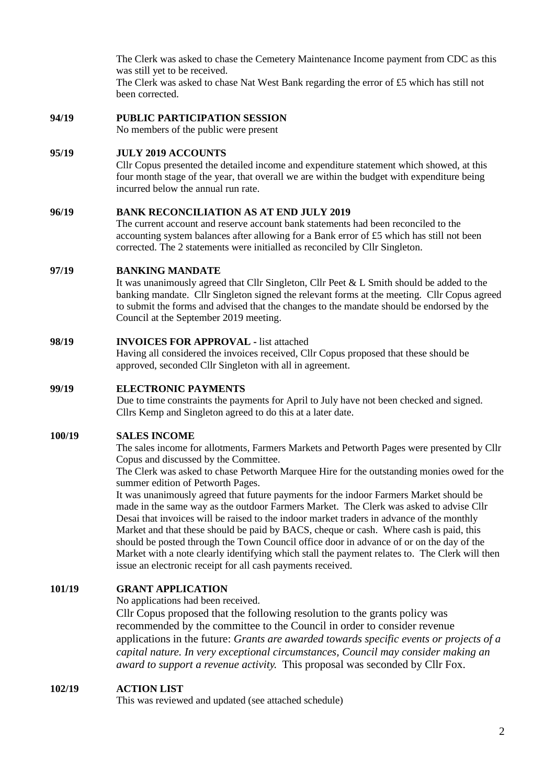The Clerk was asked to chase the Cemetery Maintenance Income payment from CDC as this was still yet to be received. The Clerk was asked to chase Nat West Bank regarding the error of £5 which has still not

been corrected.

#### **94/19 PUBLIC PARTICIPATION SESSION**

No members of the public were present

### **95/19 JULY 2019 ACCOUNTS**

Cllr Copus presented the detailed income and expenditure statement which showed, at this four month stage of the year, that overall we are within the budget with expenditure being incurred below the annual run rate.

#### **96/19 BANK RECONCILIATION AS AT END JULY 2019**

The current account and reserve account bank statements had been reconciled to the accounting system balances after allowing for a Bank error of £5 which has still not been corrected. The 2 statements were initialled as reconciled by Cllr Singleton.

#### **97/19 BANKING MANDATE**

It was unanimously agreed that Cllr Singleton, Cllr Peet & L Smith should be added to the banking mandate. Cllr Singleton signed the relevant forms at the meeting. Cllr Copus agreed to submit the forms and advised that the changes to the mandate should be endorsed by the Council at the September 2019 meeting.

# **98/19 INVOICES FOR APPROVAL -** list attached

Having all considered the invoices received, Cllr Copus proposed that these should be approved, seconded Cllr Singleton with all in agreement.

# **99/19 ELECTRONIC PAYMENTS**

Due to time constraints the payments for April to July have not been checked and signed. Cllrs Kemp and Singleton agreed to do this at a later date.

# **100/19 SALES INCOME**

The sales income for allotments, Farmers Markets and Petworth Pages were presented by Cllr Copus and discussed by the Committee.

The Clerk was asked to chase Petworth Marquee Hire for the outstanding monies owed for the summer edition of Petworth Pages.

It was unanimously agreed that future payments for the indoor Farmers Market should be made in the same way as the outdoor Farmers Market. The Clerk was asked to advise Cllr Desai that invoices will be raised to the indoor market traders in advance of the monthly Market and that these should be paid by BACS, cheque or cash. Where cash is paid, this should be posted through the Town Council office door in advance of or on the day of the Market with a note clearly identifying which stall the payment relates to. The Clerk will then issue an electronic receipt for all cash payments received.

# **101/19 GRANT APPLICATION**

No applications had been received.

Cllr Copus proposed that the following resolution to the grants policy was recommended by the committee to the Council in order to consider revenue applications in the future: *Grants are awarded towards specific events or projects of a capital nature. In very exceptional circumstances, Council may consider making an award to support a revenue activity.* This proposal was seconded by Cllr Fox.

# **102/19 ACTION LIST**

This was reviewed and updated (see attached schedule)